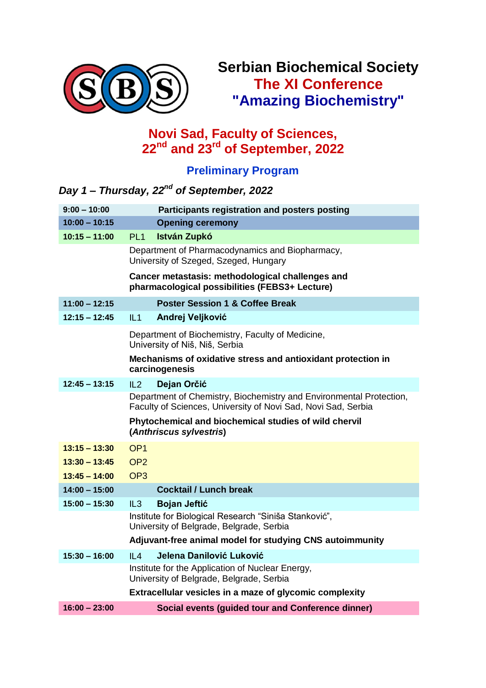

# **Serbian Biochemical Society The XI Conference "Amazing Biochemistry"**

#### **Novi Sad, Faculty of Sciences, 22nd and 23rd of September, 2022**

## **Preliminary Program**

#### *Day 1 – Thursday, 22nd of September, 2022*

| $9:00 - 10:00$  | Participants registration and posters posting                                                                                        |
|-----------------|--------------------------------------------------------------------------------------------------------------------------------------|
| $10:00 - 10:15$ | <b>Opening ceremony</b>                                                                                                              |
| $10:15 - 11:00$ | PL <sub>1</sub><br><b>István Zupkó</b>                                                                                               |
|                 | Department of Pharmacodynamics and Biopharmacy,<br>University of Szeged, Szeged, Hungary                                             |
|                 | Cancer metastasis: methodological challenges and<br>pharmacological possibilities (FEBS3+ Lecture)                                   |
| $11:00 - 12:15$ | <b>Poster Session 1 &amp; Coffee Break</b>                                                                                           |
| $12:15 - 12:45$ | IL1<br>Andrej Veljković                                                                                                              |
|                 | Department of Biochemistry, Faculty of Medicine,<br>University of Niš, Niš, Serbia                                                   |
|                 | Mechanisms of oxidative stress and antioxidant protection in<br>carcinogenesis                                                       |
| $12:45 - 13:15$ | IL2<br>Dejan Orčić                                                                                                                   |
|                 | Department of Chemistry, Biochemistry and Environmental Protection,<br>Faculty of Sciences, University of Novi Sad, Novi Sad, Serbia |
|                 | Phytochemical and biochemical studies of wild chervil<br>(Anthriscus sylvestris)                                                     |
| $13:15 - 13:30$ | OP <sub>1</sub>                                                                                                                      |
| $13:30 - 13:45$ | OP <sub>2</sub>                                                                                                                      |
| $13:45 - 14:00$ | OP <sub>3</sub>                                                                                                                      |
| $14:00 - 15:00$ | <b>Cocktail / Lunch break</b>                                                                                                        |
| $15:00 - 15:30$ | IL3<br><b>Bojan Jeftić</b>                                                                                                           |
|                 | Institute for Biological Research "Siniša Stanković",<br>University of Belgrade, Belgrade, Serbia                                    |
|                 | Adjuvant-free animal model for studying CNS autoimmunity                                                                             |
| $15:30 - 16:00$ | Jelena Danilović Luković<br>IL4                                                                                                      |
|                 | Institute for the Application of Nuclear Energy,<br>University of Belgrade, Belgrade, Serbia                                         |
|                 | Extracellular vesicles in a maze of glycomic complexity                                                                              |
| $16:00 - 23:00$ | <b>Social events (guided tour and Conference dinner)</b>                                                                             |